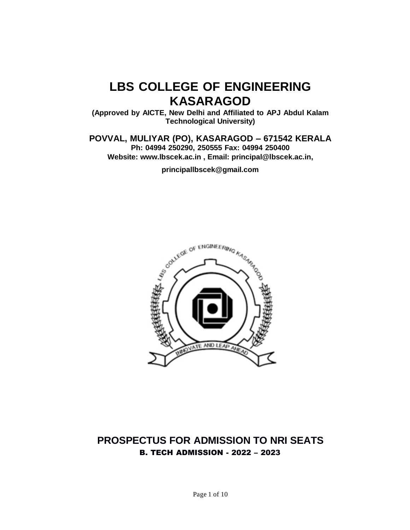# **LBS COLLEGE OF ENGINEERING KASARAGOD**

**(Approved by AICTE, New Delhi and Affiliated to APJ Abdul Kalam Technological University)**

**POVVAL, MULIYAR (PO), KASARAGOD – 671542 KERALA**

**Ph: 04994 250290, 250555 Fax: 04994 250400 Website: [www.lbscek.ac.in](http://www.lbscek.ac.in/) , Email: [principal@lbscek.ac.in,](mailto:principal@lbscek.ac.in)**

**[principallbscek@gmail.com](mailto:principallbscek@gmail.com)**



# **PROSPECTUS FOR ADMISSION TO NRI SEATS** B. TECH ADMISSION - 2022 – 2023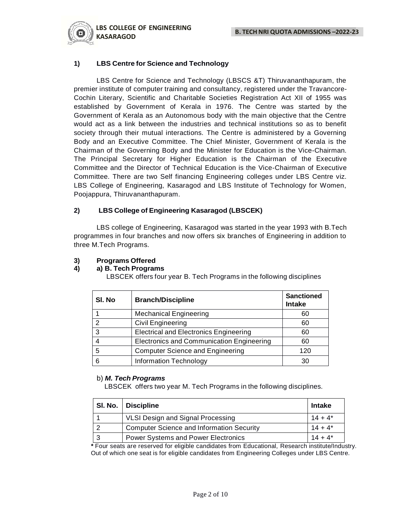

# **1) LBS Centre for Science and Technology**

LBS Centre for Science and Technology (LBSCS &T) Thiruvananthapuram, the premier institute of computer training and consultancy, registered under the Travancore-Cochin Literary, Scientific and Charitable Societies Registration Act XII of 1955 was established by Government of Kerala in 1976. The Centre was started by the Government of Kerala as an Autonomous body with the main objective that the Centre would act as a link between the industries and technical institutions so as to benefit society through their mutual interactions. The Centre is administered by a Governing Body and an Executive Committee. The Chief Minister, Government of Kerala is the Chairman of the Governing Body and the Minister for Education is the Vice-Chairman. The Principal Secretary for Higher Education is the Chairman of the Executive Committee and the Director of Technical Education is the Vice-Chairman of Executive Committee. There are two Self financing Engineering colleges under LBS Centre viz. LBS College of Engineering, Kasaragod and LBS Institute of Technology for Women, Poojappura, Thiruvananthapuram.

# **2) LBS College of Engineering Kasaragod (LBSCEK)**

LBS college of Engineering, Kasaragod was started in the year 1993 with B.Tech programmes in four branches and now offers six branches of Engineering in addition to three M.Tech Programs.

# **3) Programs Offered**

# **4) a) B. Tech Programs**

LBSCEK offers four year B. Tech Programs in the following disciplines

| SI. No | <b>Branch/Discipline</b>                         | <b>Sanctioned</b><br><b>Intake</b> |
|--------|--------------------------------------------------|------------------------------------|
|        | <b>Mechanical Engineering</b>                    | 60                                 |
| 2      | <b>Civil Engineering</b>                         | 60                                 |
| 3      | <b>Electrical and Electronics Engineering</b>    | 60                                 |
|        | <b>Electronics and Communication Engineering</b> | 60                                 |
| 5      | <b>Computer Science and Engineering</b>          | 120                                |
| 6      | <b>Information Technology</b>                    | 30                                 |

# b) *M. Tech Programs*

LBSCEK offers two year M. Tech Programs in the following disciplines.

| SI. No.   Discipline                             | <b>Intake</b> |
|--------------------------------------------------|---------------|
| VLSI Design and Signal Processing                | $14 + 4^*$    |
| <b>Computer Science and Information Security</b> | $14 + 4^*$    |
| <b>Power Systems and Power Electronics</b>       | $14 + 4^*$    |

*\** Four seats are reserved for eligible candidates from Educational, Research institute/Industry. Out of which one seat is for eligible candidates from Engineering Colleges under LBS Centre.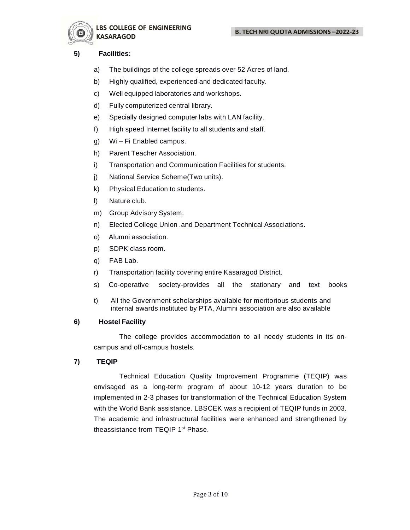



**LBS COLLEGE OF ENGINEERING KASARAGOD**

# **5) Facilities:**

- a) The buildings of the college spreads over 52 Acres of land.
- b) Highly qualified, experienced and dedicated faculty.
- c) Well equipped laboratories and workshops.
- d) Fully computerized central library.
- e) Specially designed computer labs with LAN facility.
- f) High speed Internet facility to all students and staff.
- g) Wi Fi Enabled campus.
- h) Parent Teacher Association.
- i) Transportation and Communication Facilities for students.
- j) National Service Scheme(Two units).
- k) Physical Education to students.
- l) Nature club.
- m) Group Advisory System.
- n) Elected College Union .and Department Technical Associations.
- o) Alumni association.
- p) SDPK class room.
- q) FAB Lab.
- r) Transportation facility covering entire Kasaragod District.
- s) Co-operative society-provides all the stationary and text books
- t) All the Government scholarships available for meritorious students and internal awards instituted by PTA, Alumni association are also available

# **6) Hostel Facility**

The college provides accommodation to all needy students in its oncampus and off-campus hostels.

# **7) TEQIP**

Technical Education Quality Improvement Programme (TEQIP) was envisaged as a long-term program of about 10-12 years duration to be implemented in 2-3 phases for transformation of the Technical Education System with the World Bank assistance. LBSCEK was a recipient of TEQIP funds in 2003. The academic and infrastructural facilities were enhanced and strengthened by theassistance from TEQIP 1<sup>st</sup> Phase.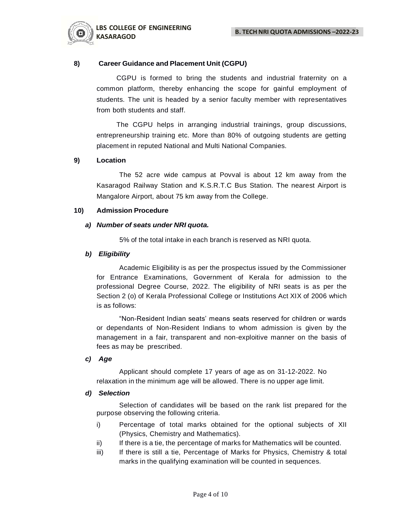

# **8) Career Guidance and Placement Unit (CGPU)**

CGPU is formed to bring the students and industrial fraternity on a common platform, thereby enhancing the scope for gainful employment of students. The unit is headed by a senior faculty member with representatives from both students and staff.

The CGPU helps in arranging industrial trainings, group discussions, entrepreneurship training etc. More than 80% of outgoing students are getting placement in reputed National and Multi National Companies.

# **9) Location**

The 52 acre wide campus at Povval is about 12 km away from the Kasaragod Railway Station and K.S.R.T.C Bus Station. The nearest Airport is Mangalore Airport, about 75 km away from the College.

# **10) Admission Procedure**

# *a) Number of seats under NRI quota.*

5% of the total intake in each branch is reserved as NRI quota.

# *b) Eligibility*

Academic Eligibility is as per the prospectus issued by the Commissioner for Entrance Examinations, Government of Kerala for admission to the professional Degree Course, 2022. The eligibility of NRI seats is as per the Section 2 (o) of Kerala Professional College or Institutions Act XIX of 2006 which is as follows:

"Non-Resident Indian seats' means seats reserved for children or wards or dependants of Non-Resident Indians to whom admission is given by the management in a fair, transparent and non-exploitive manner on the basis of fees as may be prescribed.

# *c) Age*

Applicant should complete 17 years of age as on 31-12-2022. No relaxation in the minimum age will be allowed. There is no upper age limit.

# *d) Selection*

Selection of candidates will be based on the rank list prepared for the purpose observing the following criteria.

- i) Percentage of total marks obtained for the optional subjects of XII (Physics, Chemistry and Mathematics).
- ii) If there is a tie, the percentage of marks for Mathematics will be counted.
- iii) If there is still a tie, Percentage of Marks for Physics, Chemistry & total marks in the qualifying examination will be counted in sequences.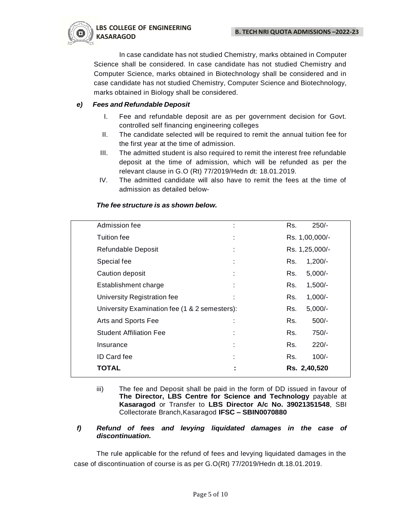

In case candidate has not studied Chemistry, marks obtained in Computer Science shall be considered. In case candidate has not studied Chemistry and Computer Science, marks obtained in Biotechnology shall be considered and in case candidate has not studied Chemistry, Computer Science and Biotechnology, marks obtained in Biology shall be considered.

# *e) Fees and Refundable Deposit*

- I. Fee and refundable deposit are as per government decision for Govt. controlled self financing engineering colleges
- II. The candidate selected will be required to remit the annual tuition fee for the first year at the time of admission.
- III. The admitted student is also required to remit the interest free refundable deposit at the time of admission, which will be refunded as per the relevant clause in G.O (Rt) 77/2019/Hedn dt: 18.01.2019.
- IV. The admitted candidate will also have to remit the fees at the time of admission as detailed below-

| Admission fee                                 |   | Rs. | $250/-$        |  |
|-----------------------------------------------|---|-----|----------------|--|
| Tuition fee                                   |   |     | Rs. 1,00,000/- |  |
| Refundable Deposit                            |   |     | Rs. 1,25,000/- |  |
| Special fee                                   | ٠ | Rs. | $1,200/-$      |  |
| Caution deposit                               |   | Rs. | $5,000/-$      |  |
| Establishment charge                          | ÷ | Rs. | $1,500/-$      |  |
| University Registration fee                   |   | Rs. | $1,000/-$      |  |
| University Examination fee (1 & 2 semesters): |   | Rs. | $5,000/-$      |  |
| Arts and Sports Fee                           | ٠ | Rs. | $500/-$        |  |
| <b>Student Affiliation Fee</b>                |   | Rs. | 750/-          |  |
| Insurance                                     |   | Rs. | $220/-$        |  |
| ID Card fee                                   |   | Rs. | $100/-$        |  |
| TOTAL                                         |   |     | Rs. 2,40,520   |  |
|                                               |   |     |                |  |

# *The fee structure is as shown below.*

iii) The fee and Deposit shall be paid in the form of DD issued in favour of **The Director, LBS Centre for Science and Technology** payable at **Kasaragod** or Transfer to **LBS Director A/c No. 39021351548**, SBI Collectorate Branch,Kasaragod **IFSC – SBIN0070880**

# *f) Refund of fees and levying liquidated damages in the case of discontinuation.*

The rule applicable for the refund of fees and levying liquidated damages in the case of discontinuation of course is as per G.O(Rt) 77/2019/Hedn dt.18.01.2019.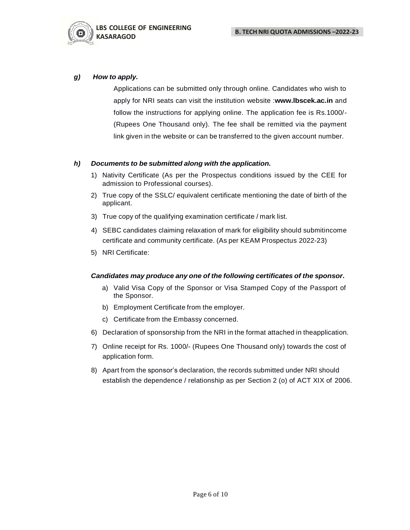

# *g) How to apply.*

Applications can be submitted only through online. Candidates who wish to apply for NRI seats can visit the institution website :**[www.lbscek.ac.in](http://www.lbscek.ac.in/)** and follow the instructions for applying online. The application fee is Rs.1000/- (Rupees One Thousand only). The fee shall be remitted via the payment link given in the website or can be transferred to the given account number.

# *h) Documents to be submitted along with the application.*

- 1) Nativity Certificate (As per the Prospectus conditions issued by the CEE for admission to Professional courses).
- 2) True copy of the SSLC/ equivalent certificate mentioning the date of birth of the applicant.
- 3) True copy of the qualifying examination certificate / mark list.
- 4) SEBC candidates claiming relaxation of mark for eligibility should submitincome certificate and community certificate. (As per KEAM Prospectus 2022-23)
- 5) NRI Certificate:

# *Candidates may produce any one of the following certificates of the sponsor***.**

- a) Valid Visa Copy of the Sponsor or Visa Stamped Copy of the Passport of the Sponsor.
- b) Employment Certificate from the employer.
- c) Certificate from the Embassy concerned.
- 6) Declaration of sponsorship from the NRI in the format attached in theapplication.
- 7) Online receipt for Rs. 1000/- (Rupees One Thousand only) towards the cost of application form.
- 8) Apart from the sponsor's declaration, the records submitted under NRI should establish the dependence / relationship as per Section 2 (o) of ACT XIX of 2006.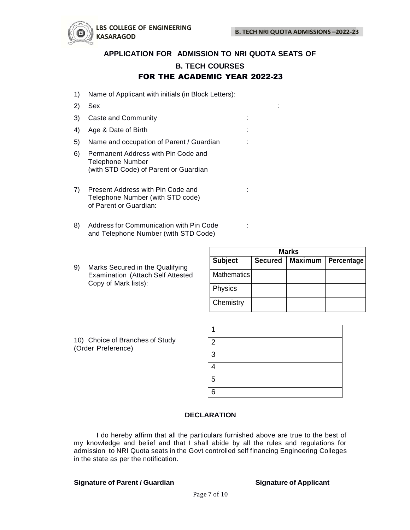

# **APPLICATION FOR ADMISSION TO NRI QUOTA SEATS OF**

# **B. TECH COURSES** FOR THE ACADEMIC YEAR 2022-23

- 1) Name of Applicant with initials (in Block Letters):
- 2) Sex :
- 3) Caste and Community in the case of the case of the case of the case of the case of the case of the case of the case of the case of the case of the case of the case of the case of the case of the case of the case of the
- 4) Age & Date of Birth : the state of  $\frac{1}{2}$  and  $\frac{1}{2}$  in the state of  $\frac{1}{2}$  and  $\frac{1}{2}$  in the state of  $\frac{1}{2}$  and  $\frac{1}{2}$  and  $\frac{1}{2}$  and  $\frac{1}{2}$  and  $\frac{1}{2}$  and  $\frac{1}{2}$  and  $\frac{1}{2}$  and  $\frac{1}{$
- 5) Name and occupation of Parent / Guardian :
- 6) Permanent Address with Pin Code and Telephone Number (with STD Code) of Parent or Guardian
- 7) Present Address with Pin Code and : Telephone Number (with STD code) of Parent or Guardian:
- 8) Address for Communication with Pin Code : and Telephone Number (with STD Code)
- 9) Marks Secured in the Qualifying Examination (Attach Self Attested Copy of Mark lists):

| <b>Marks</b>       |                |                |            |  |  |
|--------------------|----------------|----------------|------------|--|--|
| <b>Subject</b>     | <b>Secured</b> | <b>Maximum</b> | Percentage |  |  |
| <b>Mathematics</b> |                |                |            |  |  |
| Physics            |                |                |            |  |  |
| Chemistry          |                |                |            |  |  |

| 10) Choice of Branches of Study |  |
|---------------------------------|--|
| (Order Preference)              |  |

| $\overline{2}$ |  |
|----------------|--|
| 3              |  |
| Λ              |  |
| 5              |  |
| 6              |  |

# **DECLARATION**

I do hereby affirm that all the particulars furnished above are true to the best of my knowledge and belief and that I shall abide by all the rules and regulations for admission to NRI Quota seats in the Govt controlled self financing Engineering Colleges in the state as per the notification.

# **Signature of Parent / Guardian Signature of Applicant**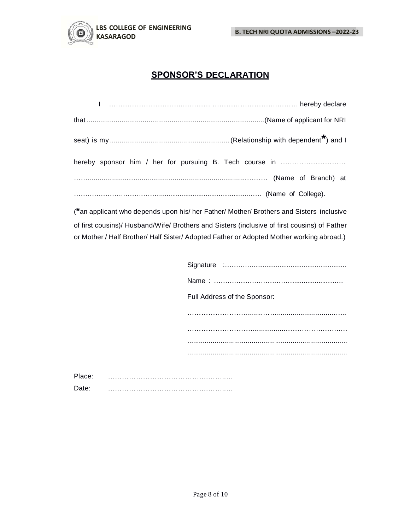

**B. TECH NRI QUOTA ADMISSIONS –2022-23**

# **SPONSOR'S DECLARATION**

| l  ……………………………………………………………………………… hereby declare        |
|---------------------------------------------------------|
|                                                         |
|                                                         |
| hereby sponsor him / her for pursuing B. Tech course in |
|                                                         |
|                                                         |

(**\***an applicant who depends upon his/ her Father/ Mother/ Brothers and Sisters inclusive of first cousins)/ Husband/Wife/ Brothers and Sisters (inclusive of first cousins) of Father or Mother / Half Brother/ Half Sister/ Adopted Father or Adopted Mother working abroad.)

|   | Full Address of the Sponsor: |
|---|------------------------------|
|   |                              |
|   |                              |
|   |                              |
| . |                              |
|   |                              |

Place: …………………………………….……..… Date: …………………………………….……..…